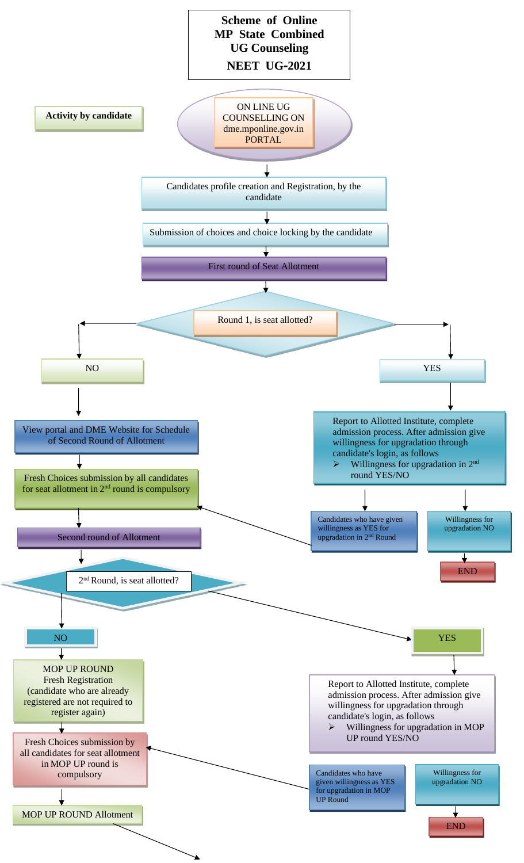